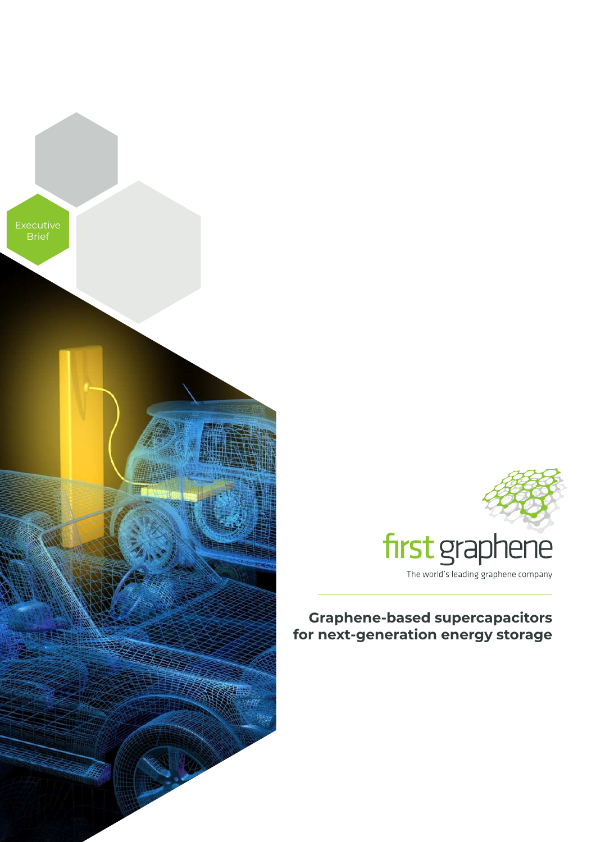



# **Graphene-based supercapacitors for next-generation energy storage**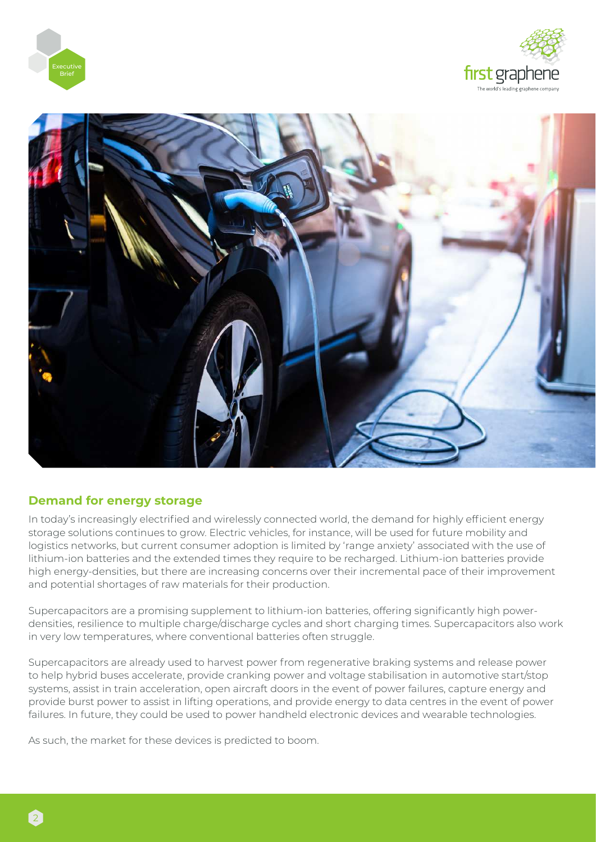





### **Demand for energy storage**

In today's increasingly electrified and wirelessly connected world, the demand for highly efficient energy storage solutions continues to grow. Electric vehicles, for instance, will be used for future mobility and logistics networks, but current consumer adoption is limited by 'range anxiety' associated with the use of lithium-ion batteries and the extended times they require to be recharged. Lithium-ion batteries provide high energy-densities, but there are increasing concerns over their incremental pace of their improvement and potential shortages of raw materials for their production.

Supercapacitors are a promising supplement to lithium-ion batteries, offering significantly high powerdensities, resilience to multiple charge/discharge cycles and short charging times. Supercapacitors also work in very low temperatures, where conventional batteries often struggle.

Supercapacitors are already used to harvest power from regenerative braking systems and release power to help hybrid buses accelerate, provide cranking power and voltage stabilisation in automotive start/stop systems, assist in train acceleration, open aircraft doors in the event of power failures, capture energy and provide burst power to assist in lifting operations, and provide energy to data centres in the event of power failures. In future, they could be used to power handheld electronic devices and wearable technologies.

As such, the market for these devices is predicted to boom.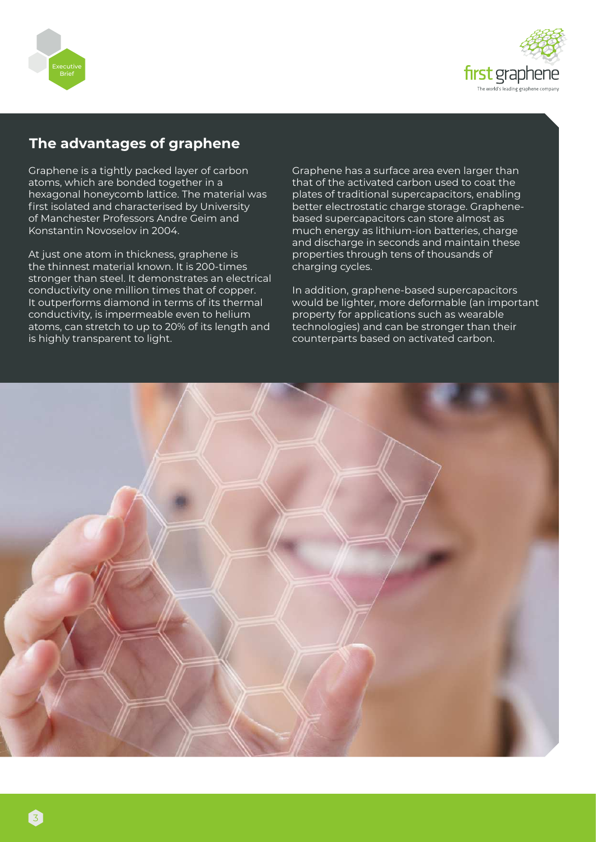



## **The advantages of graphene**

Graphene is a tightly packed layer of carbon atoms, which are bonded together in a hexagonal honeycomb lattice. The material was first isolated and characterised by University of Manchester Professors Andre Geim and Konstantin Novoselov in 2004.

At just one atom in thickness, graphene is the thinnest material known. It is 200-times stronger than steel. It demonstrates an electrical conductivity one million times that of copper. It outperforms diamond in terms of its thermal conductivity, is impermeable even to helium atoms, can stretch to up to 20% of its length and is highly transparent to light.

Graphene has a surface area even larger than that of the activated carbon used to coat the plates of traditional supercapacitors, enabling better electrostatic charge storage. Graphenebased supercapacitors can store almost as much energy as lithium-ion batteries, charge and discharge in seconds and maintain these properties through tens of thousands of charging cycles.

In addition, graphene-based supercapacitors would be lighter, more deformable (an important property for applications such as wearable technologies) and can be stronger than their counterparts based on activated carbon.

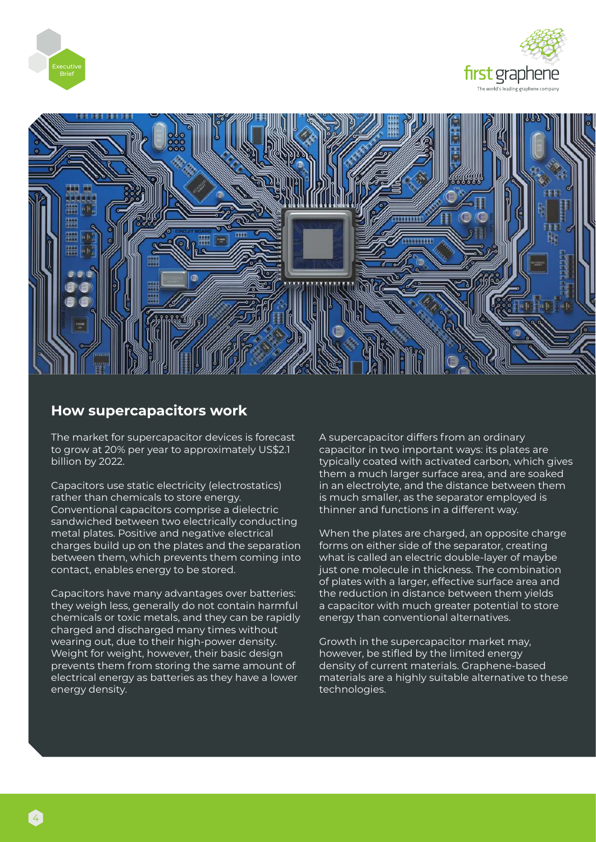





## **How supercapacitors work**

The market for supercapacitor devices is forecast to grow at 20% per year to approximately US\$2.1 billion by 2022.

Capacitors use static electricity (electrostatics) rather than chemicals to store energy. Conventional capacitors comprise a dielectric sandwiched between two electrically conducting metal plates. Positive and negative electrical charges build up on the plates and the separation between them, which prevents them coming into contact, enables energy to be stored.

Capacitors have many advantages over batteries: they weigh less, generally do not contain harmful chemicals or toxic metals, and they can be rapidly charged and discharged many times without wearing out, due to their high-power density. Weight for weight, however, their basic design prevents them from storing the same amount of electrical energy as batteries as they have a lower energy density.

A supercapacitor differs from an ordinary capacitor in two important ways: its plates are typically coated with activated carbon, which gives them a much larger surface area, and are soaked in an electrolyte, and the distance between them is much smaller, as the separator employed is thinner and functions in a different way.

When the plates are charged, an opposite charge forms on either side of the separator, creating what is called an electric double-layer of maybe just one molecule in thickness. The combination of plates with a larger, effective surface area and the reduction in distance between them yields a capacitor with much greater potential to store energy than conventional alternatives.

Growth in the supercapacitor market may, however, be stifled by the limited energy density of current materials. Graphene-based materials are a highly suitable alternative to these technologies.

4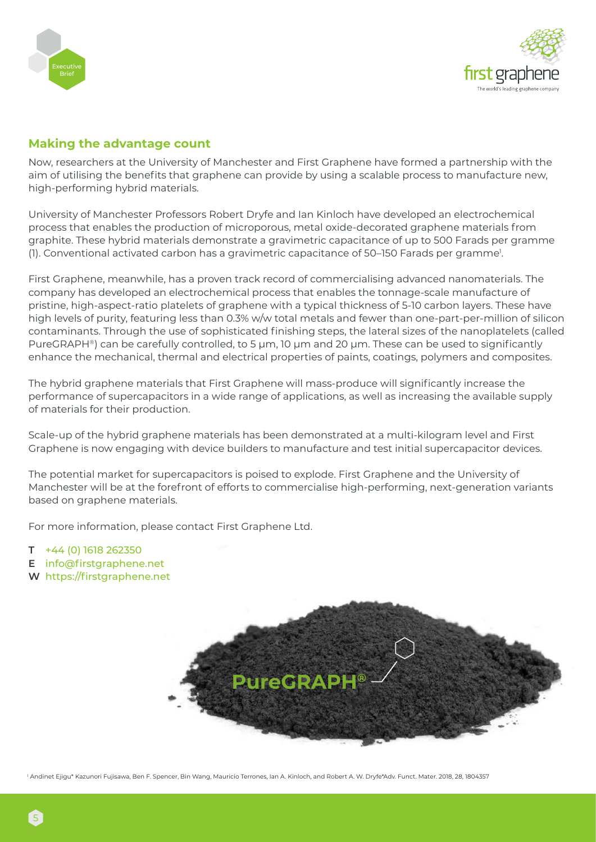



### **Making the advantage count**

Now, researchers at the University of Manchester and First Graphene have formed a partnership with the aim of utilising the benefits that graphene can provide by using a scalable process to manufacture new, high-performing hybrid materials.

University of Manchester Professors Robert Dryfe and Ian Kinloch have developed an electrochemical process that enables the production of microporous, metal oxide-decorated graphene materials from graphite. These hybrid materials demonstrate a gravimetric capacitance of up to 500 Farads per gramme (1). Conventional activated carbon has a gravimetric capacitance of 50–150 Farads per gramme<sup>1</sup>.

First Graphene, meanwhile, has a proven track record of commercialising advanced nanomaterials. The company has developed an electrochemical process that enables the tonnage-scale manufacture of pristine, high-aspect-ratio platelets of graphene with a typical thickness of 5-10 carbon layers. These have high levels of purity, featuring less than 0.3% w/w total metals and fewer than one-part-per-million of silicon contaminants. Through the use of sophisticated finishing steps, the lateral sizes of the nanoplatelets (called PureGRAPH®) can be carefully controlled, to 5 µm, 10 µm and 20 µm. These can be used to significantly enhance the mechanical, thermal and electrical properties of paints, coatings, polymers and composites.

The hybrid graphene materials that First Graphene will mass-produce will significantly increase the performance of supercapacitors in a wide range of applications, as well as increasing the available supply of materials for their production.

Scale-up of the hybrid graphene materials has been demonstrated at a multi-kilogram level and First Graphene is now engaging with device builders to manufacture and test initial supercapacitor devices.

The potential market for supercapacitors is poised to explode. First Graphene and the University of Manchester will be at the forefront of efforts to commercialise high-performing, next-generation variants based on graphene materials.

For more information, please contact First Graphene Ltd.

- **T** +44 (0) 1618 262350
- **E** info@firstgraphene.net
- **W** https://firstgraphene.net



1 Andinet Ejigu\* Kazunori Fujisawa, Ben F. Spencer, Bin Wang, Mauricio Terrones, Ian A. Kinloch, and Robert A. W. Dryfe\*Adv. Funct. Mater. 2018, 28, 1804357